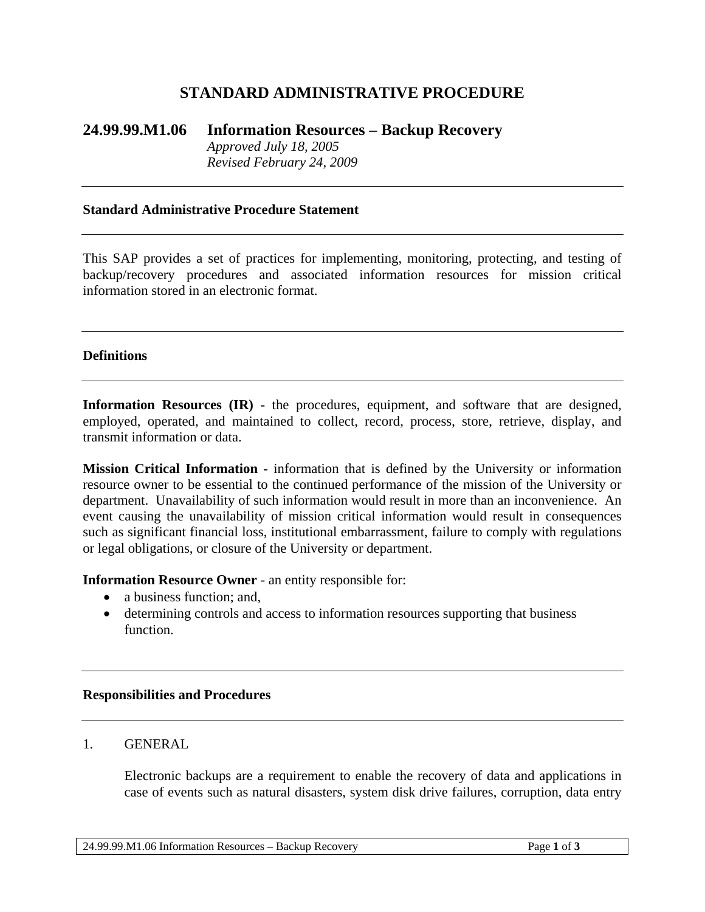# **STANDARD ADMINISTRATIVE PROCEDURE**

# **24.99.99.M1.06 Information Resources – Backup Recovery** *Approved July 18, 2005 Revised February 24, 2009*

#### **Standard Administrative Procedure Statement**

This SAP provides a set of practices for implementing, monitoring, protecting, and testing of backup/recovery procedures and associated information resources for mission critical information stored in an electronic format.

#### **Definitions**

**Information Resources (IR) -** the procedures, equipment, and software that are designed, employed, operated, and maintained to collect, record, process, store, retrieve, display, and transmit information or data.

**Mission Critical Information -** information that is defined by the University or information resource owner to be essential to the continued performance of the mission of the University or department. Unavailability of such information would result in more than an inconvenience. An event causing the unavailability of mission critical information would result in consequences such as significant financial loss, institutional embarrassment, failure to comply with regulations or legal obligations, or closure of the University or department.

**Information Resource Owner** - an entity responsible for:

- a business function; and,
- determining controls and access to information resources supporting that business function.

#### **Responsibilities and Procedures**

#### 1. GENERAL

Electronic backups are a requirement to enable the recovery of data and applications in case of events such as natural disasters, system disk drive failures, corruption, data entry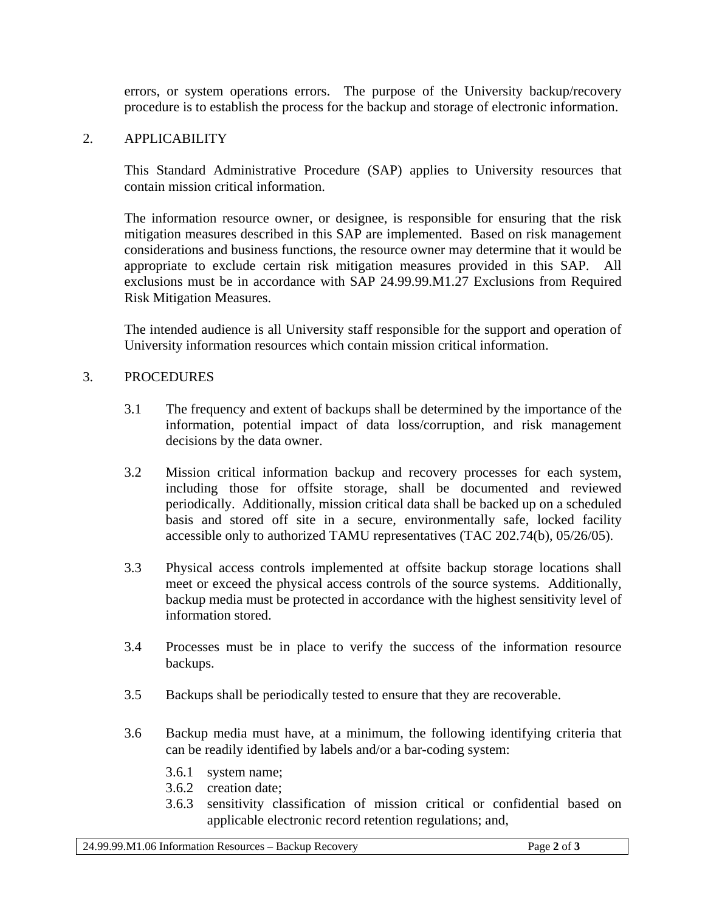errors, or system operations errors. The purpose of the University backup/recovery procedure is to establish the process for the backup and storage of electronic information.

# 2. APPLICABILITY

This Standard Administrative Procedure (SAP) applies to University resources that contain mission critical information.

The information resource owner, or designee, is responsible for ensuring that the risk mitigation measures described in this SAP are implemented. Based on risk management considerations and business functions, the resource owner may determine that it would be appropriate to exclude certain risk mitigation measures provided in this SAP. All exclusions must be in accordance with SAP 24.99.99.M1.27 Exclusions from Required Risk Mitigation Measures.

The intended audience is all University staff responsible for the support and operation of University information resources which contain mission critical information.

# 3. PROCEDURES

- 3.1 The frequency and extent of backups shall be determined by the importance of the information, potential impact of data loss/corruption, and risk management decisions by the data owner.
- 3.2 Mission critical information backup and recovery processes for each system, including those for offsite storage, shall be documented and reviewed periodically. Additionally, mission critical data shall be backed up on a scheduled basis and stored off site in a secure, environmentally safe, locked facility accessible only to authorized TAMU representatives (TAC 202.74(b), 05/26/05).
- 3.3 Physical access controls implemented at offsite backup storage locations shall meet or exceed the physical access controls of the source systems. Additionally, backup media must be protected in accordance with the highest sensitivity level of information stored.
- 3.4 Processes must be in place to verify the success of the information resource backups.
- 3.5 Backups shall be periodically tested to ensure that they are recoverable.
- 3.6 Backup media must have, at a minimum, the following identifying criteria that can be readily identified by labels and/or a bar-coding system:
	- 3.6.1 system name;
	- 3.6.2 creation date;
	- 3.6.3 sensitivity classification of mission critical or confidential based on applicable electronic record retention regulations; and,